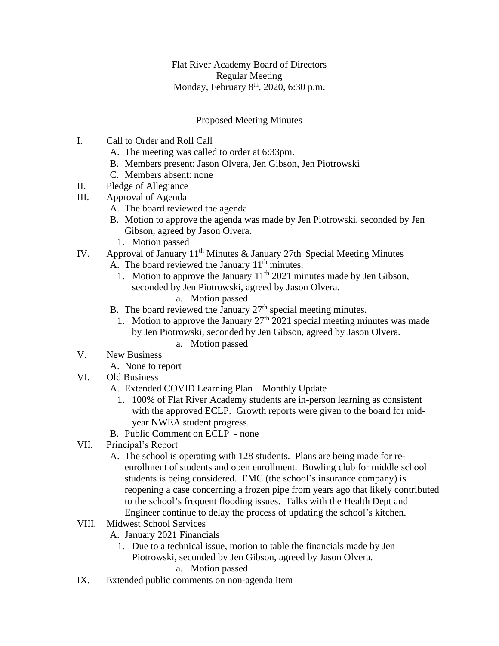Flat River Academy Board of Directors Regular Meeting Monday, February 8<sup>th</sup>, 2020, 6:30 p.m.

## Proposed Meeting Minutes

- I. Call to Order and Roll Call
	- A. The meeting was called to order at 6:33pm.
	- B. Members present: Jason Olvera, Jen Gibson, Jen Piotrowski
	- C. Members absent: none
- II. Pledge of Allegiance
- III. Approval of Agenda
	- A. The board reviewed the agenda
	- B. Motion to approve the agenda was made by Jen Piotrowski, seconded by Jen Gibson, agreed by Jason Olvera.
		- 1. Motion passed
- IV. Approval of January  $11<sup>th</sup>$  Minutes & January 27th Special Meeting Minutes
	- A. The board reviewed the January  $11<sup>th</sup>$  minutes.
		- 1. Motion to approve the January  $11<sup>th</sup> 2021$  minutes made by Jen Gibson, seconded by Jen Piotrowski, agreed by Jason Olvera.
			- a. Motion passed
	- B. The board reviewed the January  $27<sup>th</sup>$  special meeting minutes.
		- 1. Motion to approve the January  $27<sup>th</sup> 2021$  special meeting minutes was made by Jen Piotrowski, seconded by Jen Gibson, agreed by Jason Olvera.
			- a. Motion passed
- V. New Business
	- A. None to report
- VI. Old Business
	- A. Extended COVID Learning Plan Monthly Update
		- 1. 100% of Flat River Academy students are in-person learning as consistent with the approved ECLP. Growth reports were given to the board for midyear NWEA student progress.
	- B. Public Comment on ECLP none
- VII. Principal's Report
	- A. The school is operating with 128 students. Plans are being made for reenrollment of students and open enrollment. Bowling club for middle school students is being considered. EMC (the school's insurance company) is reopening a case concerning a frozen pipe from years ago that likely contributed to the school's frequent flooding issues. Talks with the Health Dept and Engineer continue to delay the process of updating the school's kitchen.
- VIII. Midwest School Services
	- A. January 2021 Financials
		- 1. Due to a technical issue, motion to table the financials made by Jen Piotrowski, seconded by Jen Gibson, agreed by Jason Olvera.
			- a. Motion passed
- IX. Extended public comments on non-agenda item